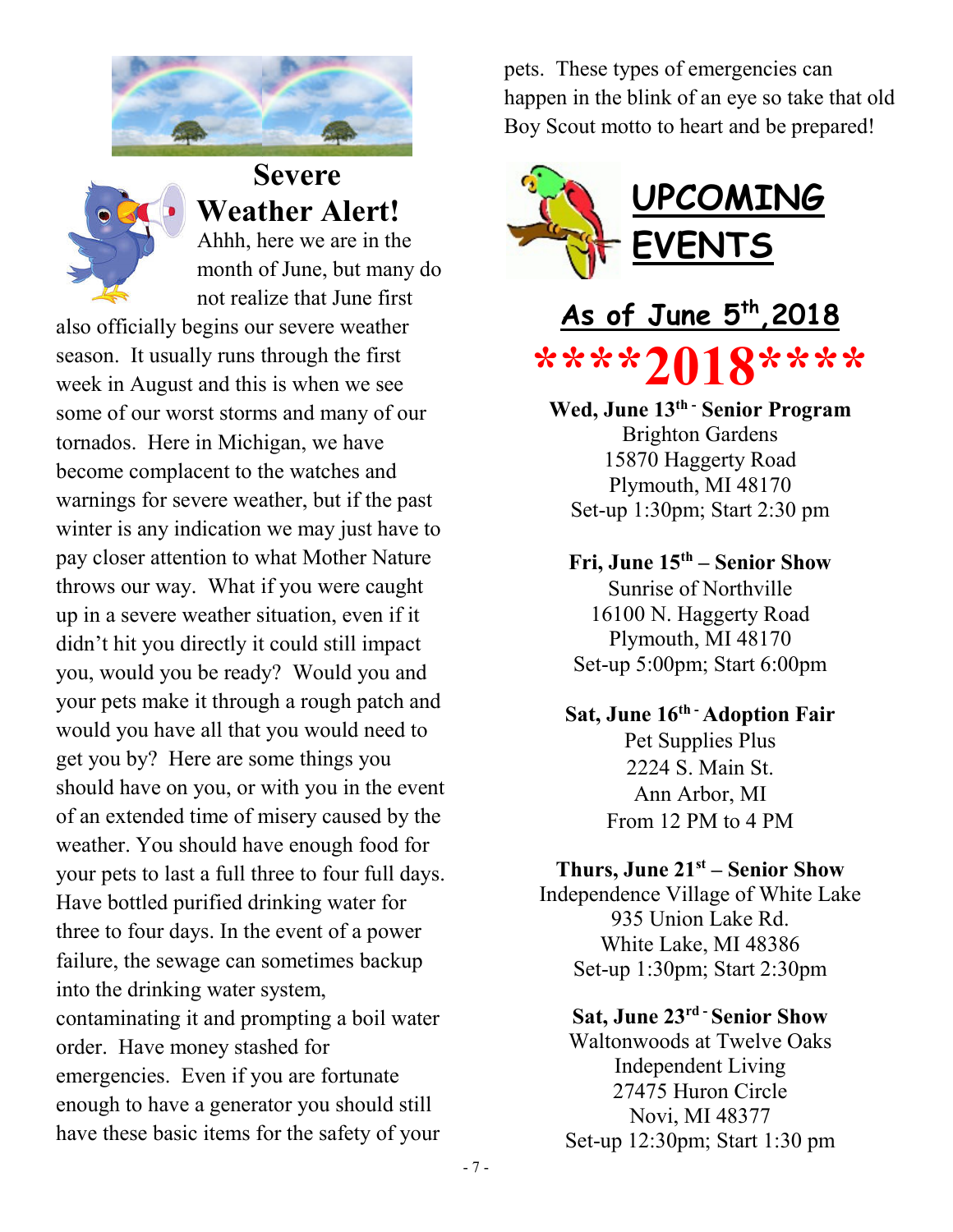



# Severe Weather Alert!

Ahhh, here we are in the month of June, but many do not realize that June first

also officially begins our severe weather season. It usually runs through the first week in August and this is when we see some of our worst storms and many of our tornados. Here in Michigan, we have become complacent to the watches and warnings for severe weather, but if the past winter is any indication we may just have to pay closer attention to what Mother Nature throws our way. What if you were caught up in a severe weather situation, even if it didn't hit you directly it could still impact you, would you be ready? Would you and your pets make it through a rough patch and would you have all that you would need to get you by? Here are some things you should have on you, or with you in the event of an extended time of misery caused by the weather. You should have enough food for your pets to last a full three to four full days. Have bottled purified drinking water for three to four days. In the event of a power failure, the sewage can sometimes backup into the drinking water system, contaminating it and prompting a boil water order. Have money stashed for emergencies. Even if you are fortunate enough to have a generator you should still have these basic items for the safety of your

pets. These types of emergencies can happen in the blink of an eye so take that old Boy Scout motto to heart and be prepared!



# As of June 5<sup>th</sup>, 2018

# \*\*\*\*2018\*\*\*\*

Wed, June 13<sup>th</sup> - Senior Program Brighton Gardens 15870 Haggerty Road Plymouth, MI 48170 Set-up 1:30pm; Start 2:30 pm

#### Fri, June 15th – Senior Show Sunrise of Northville 16100 N. Haggerty Road Plymouth, MI 48170 Set-up 5:00pm; Start 6:00pm

Sat, June 16<sup>th -</sup> Adoption Fair Pet Supplies Plus 2224 S. Main St. Ann Arbor, MI From 12 PM to 4 PM

#### Thurs, June  $21<sup>st</sup>$  – Senior Show

Independence Village of White Lake 935 Union Lake Rd. White Lake, MI 48386 Set-up 1:30pm; Start 2:30pm

#### Sat, June 23<sup>rd</sup> - Senior Show

Waltonwoods at Twelve Oaks Independent Living 27475 Huron Circle Novi, MI 48377 Set-up 12:30pm; Start 1:30 pm

- 7 -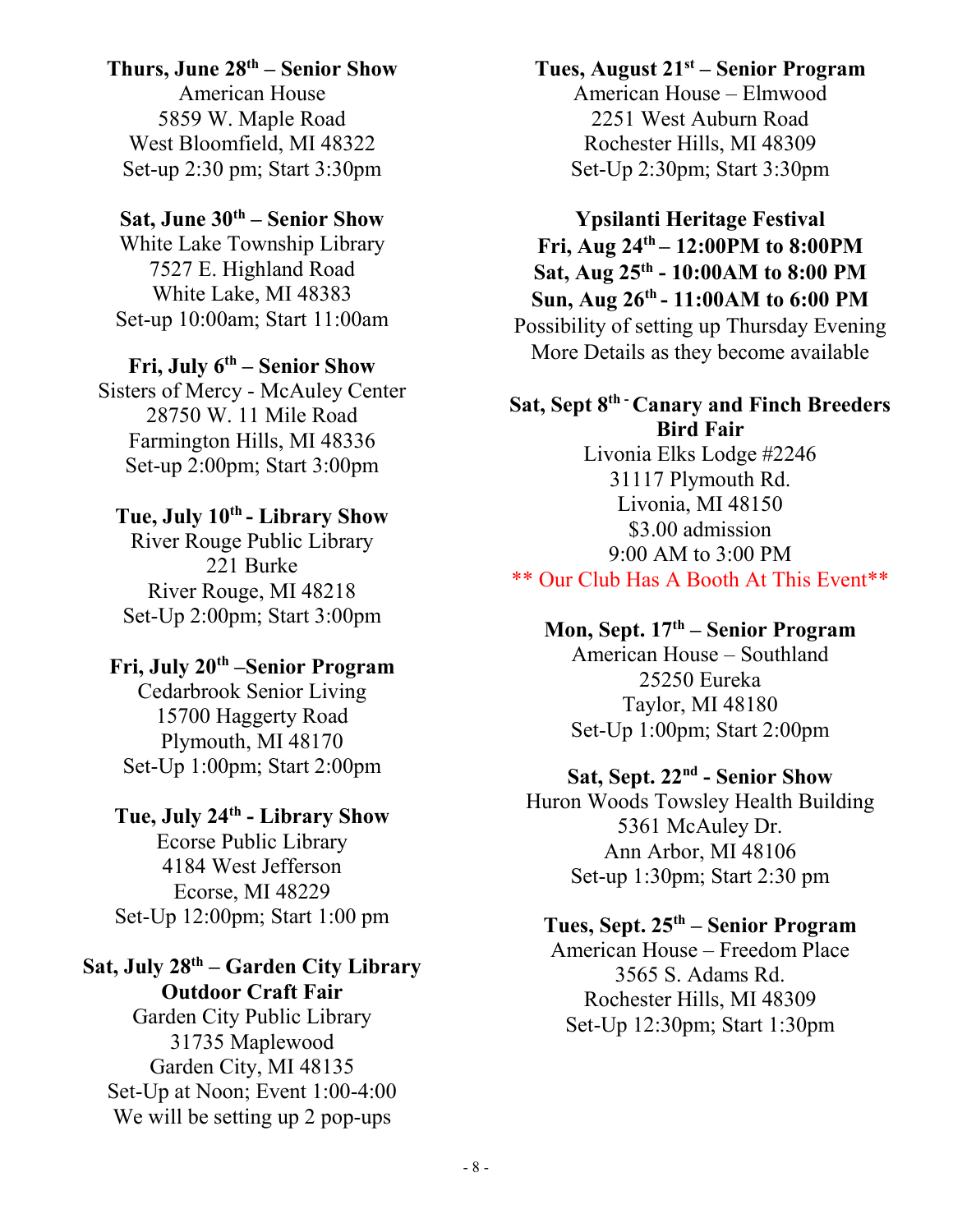# Thurs, June  $28^{th}$  – Senior Show

American House 5859 W. Maple Road West Bloomfield, MI 48322 Set-up 2:30 pm; Start 3:30pm

#### Sat, June  $30<sup>th</sup>$  – Senior Show

White Lake Township Library 7527 E. Highland Road White Lake, MI 48383 Set-up 10:00am; Start 11:00am

#### Fri, July  $6<sup>th</sup>$  – Senior Show

Sisters of Mercy - McAuley Center 28750 W. 11 Mile Road Farmington Hills, MI 48336 Set-up 2:00pm; Start 3:00pm

#### Tue, July 10<sup>th</sup> - Library Show

River Rouge Public Library 221 Burke River Rouge, MI 48218 Set-Up 2:00pm; Start 3:00pm

#### Fri, July 20th –Senior Program

Cedarbrook Senior Living 15700 Haggerty Road Plymouth, MI 48170 Set-Up 1:00pm; Start 2:00pm

#### Tue, July 24<sup>th</sup> - Library Show

Ecorse Public Library 4184 West Jefferson Ecorse, MI 48229 Set-Up 12:00pm; Start 1:00 pm

#### Sat, July 28<sup>th</sup> – Garden City Library Outdoor Craft Fair

Garden City Public Library 31735 Maplewood Garden City, MI 48135 Set-Up at Noon; Event 1:00-4:00 We will be setting up 2 pop-ups

### Tues, August 21st – Senior Program

American House – Elmwood 2251 West Auburn Road Rochester Hills, MI 48309 Set-Up 2:30pm; Start 3:30pm

# Ypsilanti Heritage Festival

Fri, Aug 24th – 12:00PM to 8:00PM Sat, Aug 25th - 10:00AM to 8:00 PM

#### Sun, Aug 26<sup>th</sup> - 11:00AM to 6:00 PM Possibility of setting up Thursday Evening

More Details as they become available

#### Sat, Sept 8<sup>th -</sup> Canary and Finch Breeders Bird Fair

Livonia Elks Lodge #2246 31117 Plymouth Rd. Livonia, MI 48150 \$3.00 admission 9:00 AM to 3:00 PM \*\* Our Club Has A Booth At This Event\*\*

## Mon, Sept. 17<sup>th</sup> – Senior Program

American House – Southland 25250 Eureka Taylor, MI 48180 Set-Up 1:00pm; Start 2:00pm

# Sat, Sept. 22nd - Senior Show

Huron Woods Towsley Health Building 5361 McAuley Dr. Ann Arbor, MI 48106 Set-up 1:30pm; Start 2:30 pm

# Tues, Sept. 25<sup>th</sup> – Senior Program

American House – Freedom Place 3565 S. Adams Rd. Rochester Hills, MI 48309 Set-Up 12:30pm; Start 1:30pm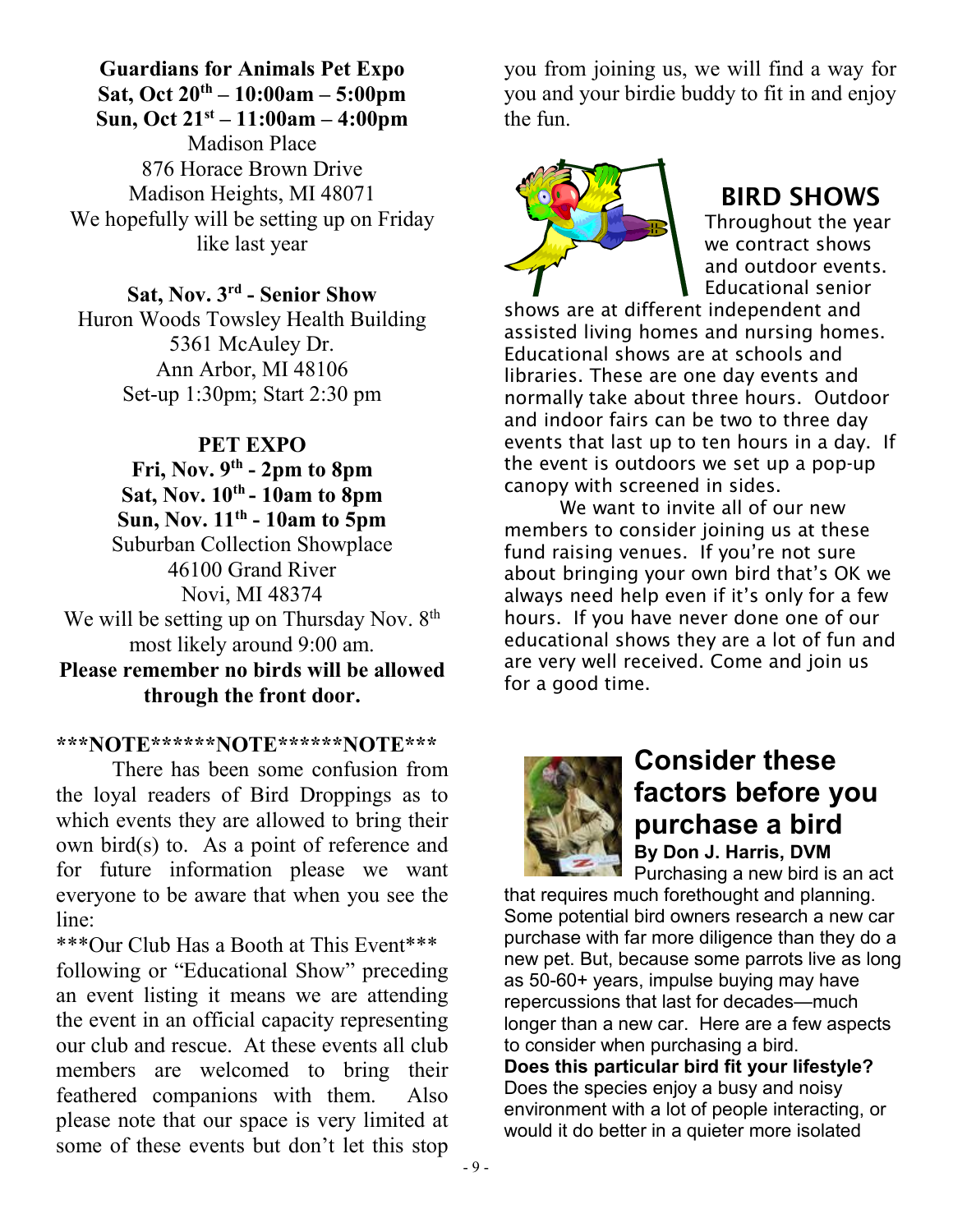Guardians for Animals Pet Expo Sat, Oct  $20^{th} - 10:00am - 5:00pm$ 

Sun, Oct  $21^{st} - 11:00am - 4:00pm$ Madison Place 876 Horace Brown Drive Madison Heights, MI 48071 We hopefully will be setting up on Friday like last year

Sat, Nov. 3rd - Senior Show Huron Woods Towsley Health Building 5361 McAuley Dr. Ann Arbor, MI 48106 Set-up 1:30pm; Start 2:30 pm

#### PET EXPO

Fri, Nov. 9th - 2pm to 8pm Sat, Nov.  $10^{th}$  - 10am to 8pm Sun, Nov.  $11<sup>th</sup>$  - 10am to 5pm Suburban Collection Showplace 46100 Grand River Novi, MI 48374 We will be setting up on Thursday Nov. 8<sup>th</sup> most likely around 9:00 am. Please remember no birds will be allowed through the front door.

#### \*\*\*NOTE\*\*\*\*\*\*NOTE\*\*\*\*\*\*NOTE\*\*\*

 There has been some confusion from the loyal readers of Bird Droppings as to which events they are allowed to bring their own bird(s) to. As a point of reference and for future information please we want everyone to be aware that when you see the line:

\*\*\*Our Club Has a Booth at This Event\*\*\*

following or "Educational Show" preceding an event listing it means we are attending the event in an official capacity representing our club and rescue. At these events all club members are welcomed to bring their feathered companions with them. Also please note that our space is very limited at some of these events but don't let this stop

you from joining us, we will find a way for you and your birdie buddy to fit in and enjoy the fun.



# BIRD SHOWS

Throughout the year we contract shows and outdoor events. Educational senior

shows are at different independent and assisted living homes and nursing homes. Educational shows are at schools and libraries. These are one day events and normally take about three hours. Outdoor and indoor fairs can be two to three day events that last up to ten hours in a day. If the event is outdoors we set up a pop-up canopy with screened in sides.

We want to invite all of our new members to consider joining us at these fund raising venues. If you're not sure about bringing your own bird that's OK we always need help even if it's only for a few hours. If you have never done one of our educational shows they are a lot of fun and are very well received. Come and join us for a good time.



# Consider these factors before you purchase a bird By Don J. Harris, DVM Purchasing a new bird is an act

that requires much forethought and planning. Some potential bird owners research a new car purchase with far more diligence than they do a new pet. But, because some parrots live as long as 50-60+ years, impulse buying may have repercussions that last for decades—much longer than a new car. Here are a few aspects to consider when purchasing a bird. Does this particular bird fit your lifestyle? Does the species enjoy a busy and noisy environment with a lot of people interacting, or would it do better in a quieter more isolated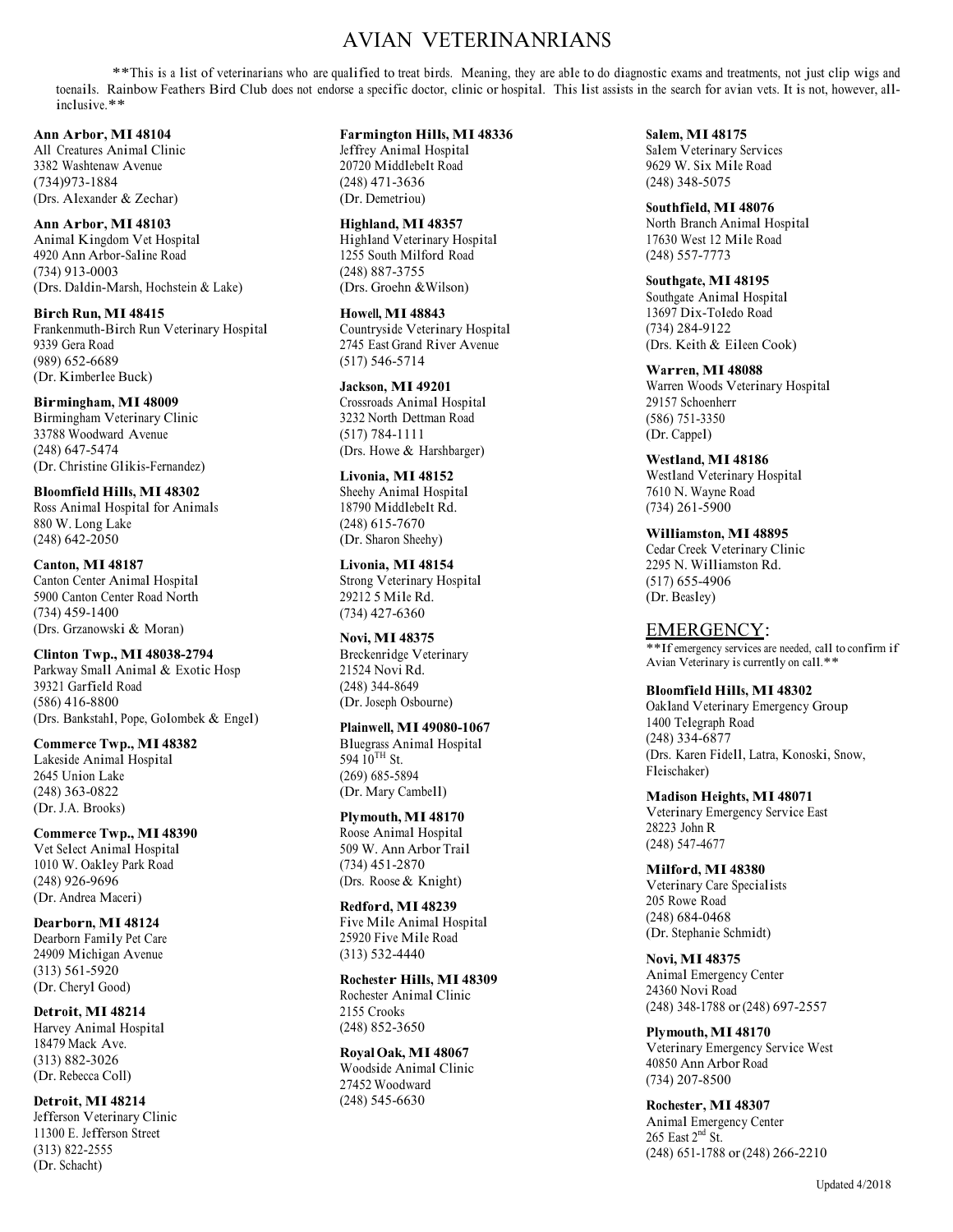#### AVIAN VETERINANRIANS

\*\*This is a list of veterinarians who are qualified to treat birds. Meaning, they are able to do diagnostic exams and treatments, not just clip wigs and toenails. Rainbow Feathers Bird Club does not endorse a specific doctor, clinic or hospital. This list assists in the search for avian vets. It is not, however, allinclusive.\*\*

Ann Arbor, MI 48104 All Creatures Animal Clinic 3382 Washtenaw Avenue (734)973-1884 (Drs. Alexander & Zechar)

Ann Arbor, MI 48103 Animal Kingdom Vet Hospital 4920 Ann Arbor-Saline Road (734) 913-0003 (Drs. Daldin-Marsh, Hochstein & Lake)

Birch Run, MI 48415 Frankenmuth-Birch Run Veterinary Hospital 9339 Gera Road (989) 652-6689 (Dr. Kimberlee Buck)

Birmingham, MI 48009 Birmingham Veterinary Clinic 33788 Woodward Avenue (248) 647-5474 (Dr. Christine Glikis-Fernandez)

Bloomfield Hills, MI 48302 Ross Animal Hospital for Animals 880 W. Long Lake (248) 642-2050

Canton, MI 48187 Canton Center Animal Hospital 5900 Canton Center Road North (734) 459-1400 (Drs. Grzanowski & Moran)

Clinton Twp., MI 48038-2794 Parkway Small Animal & Exotic Hosp 39321 Garfield Road (586) 416-8800 (Drs. Bankstahl, Pope, Golombek & Engel)

Commerce Twp., MI 48382 Lakeside Animal Hospital 2645 Union Lake (248) 363-0822 (Dr. J.A. Brooks)

Commerce Twp., MI 48390 Vet Select Animal Hospital 1010 W. Oakley Park Road (248) 926-9696 (Dr. Andrea Maceri)

Dearborn, MI 48124 Dearborn Family Pet Care 24909 Michigan Avenue (313) 561-5920 (Dr. Cheryl Good)

Detroit, MI 48214 Harvey Animal Hospital 18479 Mack Ave. (313) 882-3026 (Dr. Rebecca Coll)

Detroit, MI 48214 Jefferson Veterinary Clinic 11300 E. Jefferson Street (313) 822-2555 (Dr. Schacht)

Farmington Hills, MI 48336 Jeffrey Animal Hospital 20720 Middlebelt Road (248) 471-3636

(Dr. Demetriou)

Highland, MI 48357 Highland Veterinary Hospital 1255 South Milford Road (248) 887-3755 (Drs. Groehn &Wilson)

Howell, MI 48843 Countryside Veterinary Hospital 2745 East Grand River Avenue (517) 546-5714

Jackson, MI 49201 Crossroads Animal Hospital 3232 North Dettman Road (517) 784-1111 (Drs. Howe & Harshbarger)

Livonia, MI 48152 Sheehy Animal Hospital 18790 Middlebelt Rd. (248) 615-7670 (Dr. Sharon Sheehy)

Livonia, MI 48154 Strong Veterinary Hospital 29212 5 Mile Rd. (734) 427-6360

Novi, MI 48375 Breckenridge Veterinary 21524 Novi Rd. (248) 344-8649 (Dr. Joseph Osbourne)

Plainwell, MI 49080-1067 Bluegrass Animal Hospital 594 10TH St. (269) 685-5894 (Dr. Mary Cambell)

#### Plymouth, MI 48170

Roose Animal Hospital 509 W. Ann Arbor Trail (734) 451-2870 (Drs. Roose & Knight)

Redford, MI 48239 Five Mile Animal Hospital 25920 Five Mile Road (313) 532-4440

Rochester Hills, MI 48309 Rochester Animal Clinic 2155 Crooks

(248) 852-3650

Royal Oak, MI 48067 Woodside Animal Clinic 27452 Woodward (248) 545-6630

Salem, MI 48175 Salem Veterinary Services 9629 W. Six Mile Road (248) 348-5075

Southfield, MI 48076 North Branch Animal Hospital 17630 West 12 Mile Road (248) 557-7773

Southgate, MI 48195 Southgate Animal Hospital 13697 Dix-Toledo Road (734) 284-9122 (Drs. Keith & Eileen Cook)

Warren, MI 48088 Warren Woods Veterinary Hospital 29157 Schoenherr (586) 751-3350 (Dr. Cappel)

Westland, MI 48186 Westland Veterinary Hospital 7610 N. Wayne Road (734) 261-5900

Williamston, MI 48895 Cedar Creek Veterinary Clinic 2295 N. Williamston Rd. (517) 655-4906 (Dr. Beasley)

EMERGENCY: \*\*If emergency services are needed, call to confirm if Avian Veterinary is currently on call.\*\*

Bloomfield Hills, MI 48302 Oakland Veterinary Emergency Group 1400 Telegraph Road (248) 334-6877 (Drs. Karen Fidell, Latra, Konoski, Snow, Fleischaker)

Madison Heights, MI 48071 Veterinary Emergency Service East 28223 John R (248) 547-4677

Milford, MI 48380 Veterinary Care Specialists 205 Rowe Road (248) 684-0468 (Dr. Stephanie Schmidt)

Novi, MI 48375 Animal Emergency Center 24360 Novi Road (248) 348-1788 or (248) 697-2557

Plymouth, MI 48170 Veterinary Emergency Service West 40850 Ann Arbor Road (734) 207-8500

Rochester, MI 48307 Animal Emergency Center 265 East 2<sup>nd</sup> St. (248) 651-1788 or (248) 266-2210